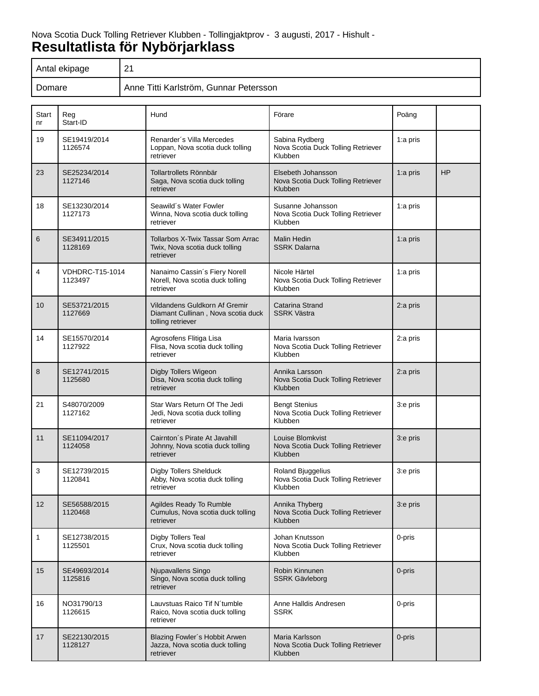# Nova Scotia Duck Tolling Retriever Klubben - Tollingjaktprov - 3 augusti, 2017 - Hishult - **Resultatlista för Nybörjarklass**

| Antal ekipage | O4<br>$\sim$ 1                         |
|---------------|----------------------------------------|
| Domare        | Anne Titti Karlström, Gunnar Petersson |

| <b>Start</b><br>nr | Reg<br>Start-ID                   | Hund                                                                                     | Förare                                                                | Poäng       |           |
|--------------------|-----------------------------------|------------------------------------------------------------------------------------------|-----------------------------------------------------------------------|-------------|-----------|
| 19                 | SE19419/2014<br>1126574           | Renarder's Villa Mercedes<br>Loppan, Nova scotia duck tolling<br>retriever               | Sabina Rydberg<br>Nova Scotia Duck Tolling Retriever<br>Klubben       | 1:a pris    |           |
| 23                 | SE25234/2014<br>1127146           | Tollartrollets Rönnbär<br>Saga, Nova scotia duck tolling<br>retriever                    | Elsebeth Johansson<br>Nova Scotia Duck Tolling Retriever<br>Klubben   | 1: $a$ pris | <b>HP</b> |
| 18                 | SE13230/2014<br>1127173           | Seawild's Water Fowler<br>Winna, Nova scotia duck tolling<br>retriever                   | Susanne Johansson<br>Nova Scotia Duck Tolling Retriever<br>Klubben    | 1:a pris    |           |
| 6                  | SE34911/2015<br>1128169           | Tollarbos X-Twix Tassar Som Arrac<br>Twix, Nova scotia duck tolling<br>retriever         | <b>Malin Hedin</b><br><b>SSRK Dalarna</b>                             | 1:a pris    |           |
| 4                  | <b>VDHDRC-T15-1014</b><br>1123497 | Nanaimo Cassin's Fiery Norell<br>Norell, Nova scotia duck tolling<br>retriever           | Nicole Härtel<br>Nova Scotia Duck Tolling Retriever<br>Klubben        | 1:a pris    |           |
| 10                 | SE53721/2015<br>1127669           | Vildandens Guldkorn Af Gremir<br>Diamant Cullinan, Nova scotia duck<br>tolling retriever | Catarina Strand<br><b>SSRK Västra</b>                                 | 2:a pris    |           |
| 14                 | SE15570/2014<br>1127922           | Agrosofens Flitiga Lisa<br>Flisa, Nova scotia duck tolling<br>retriever                  | Maria Ivarsson<br>Nova Scotia Duck Tolling Retriever<br>Klubben       | 2:a pris    |           |
| 8                  | SE12741/2015<br>1125680           | Digby Tollers Wigeon<br>Disa, Nova scotia duck tolling<br>retriever                      | Annika Larsson<br>Nova Scotia Duck Tolling Retriever<br>Klubben       | 2:a pris    |           |
| 21                 | S48070/2009<br>1127162            | Star Wars Return Of The Jedi<br>Jedi, Nova scotia duck tolling<br>retriever              | <b>Bengt Stenius</b><br>Nova Scotia Duck Tolling Retriever<br>Klubben | 3:e pris    |           |
| 11                 | SE11094/2017<br>1124058           | Cairnton's Pirate At Javahill<br>Johnny, Nova scotia duck tolling<br>retriever           | Louise Blomkvist<br>Nova Scotia Duck Tolling Retriever<br>Klubben     | 3:e pris    |           |
| 3                  | SE12739/2015<br>1120841           | Digby Tollers Shelduck<br>Abby, Nova scotia duck tolling<br>retriever                    | Roland Bjuggelius<br>Nova Scotia Duck Tolling Retriever<br>Klubben    | 3:e pris    |           |
| 12                 | SE56588/2015<br>1120468           | Agildes Ready To Rumble<br>Cumulus, Nova scotia duck tolling<br>retriever                | Annika Thyberg<br>Nova Scotia Duck Tolling Retriever<br>Klubben       | 3:e pris    |           |
| 1                  | SE12738/2015<br>1125501           | Digby Tollers Teal<br>Crux, Nova scotia duck tolling<br>retriever                        | Johan Knutsson<br>Nova Scotia Duck Tolling Retriever<br>Klubben       | 0-pris      |           |
| 15                 | SE49693/2014<br>1125816           | Njupavallens Singo<br>Singo, Nova scotia duck tolling<br>retriever                       | Robin Kinnunen<br><b>SSRK Gävleborg</b>                               | 0-pris      |           |
| 16                 | NO31790/13<br>1126615             | Lauvstuas Raico Tif N'tumble<br>Raico, Nova scotia duck tolling<br>retriever             | Anne Halldis Andresen<br><b>SSRK</b>                                  | 0-pris      |           |
| 17                 | SE22130/2015<br>1128127           | Blazing Fowler's Hobbit Arwen<br>Jazza, Nova scotia duck tolling<br>retriever            | Maria Karlsson<br>Nova Scotia Duck Tolling Retriever<br>Klubben       | 0-pris      |           |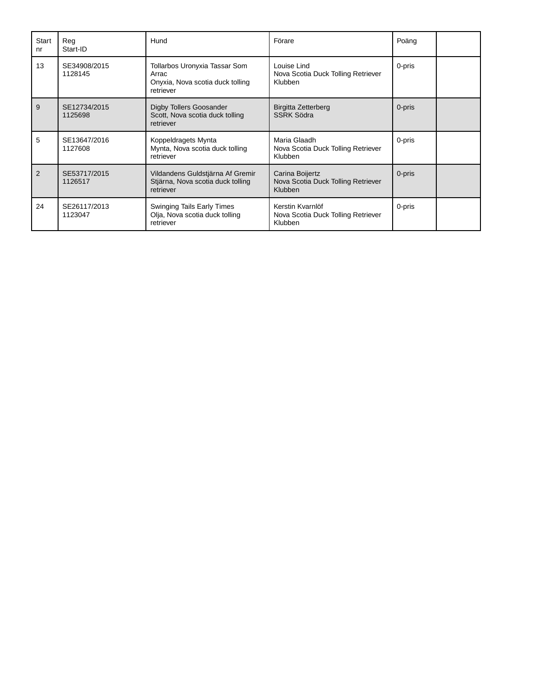| Start<br>nr | Rea<br>Start-ID         | Hund                                                                                    | Förare                                                                  | Poäng  |  |
|-------------|-------------------------|-----------------------------------------------------------------------------------------|-------------------------------------------------------------------------|--------|--|
| 13          | SE34908/2015<br>1128145 | Tollarbos Uronyxia Tassar Som<br>Arrac<br>Onyxia, Nova scotia duck tolling<br>retriever | Louise Lind<br>Nova Scotia Duck Tolling Retriever<br>Klubben            | 0-pris |  |
| 9           | SE12734/2015<br>1125698 | Digby Tollers Goosander<br>Scott, Nova scotia duck tolling<br>retriever                 | <b>Birgitta Zetterberg</b><br><b>SSRK Södra</b>                         | 0-pris |  |
| 5           | SE13647/2016<br>1127608 | Koppeldragets Mynta<br>Mynta, Nova scotia duck tolling<br>retriever                     | Maria Glaadh<br>Nova Scotia Duck Tolling Retriever<br>Klubben           | 0-pris |  |
| 2           | SE53717/2015<br>1126517 | Vildandens Guldstjärna Af Gremir<br>Stjärna, Nova scotia duck tolling<br>retriever      | Carina Boijertz<br>Nova Scotia Duck Tolling Retriever<br><b>Klubben</b> | 0-pris |  |
| 24          | SE26117/2013<br>1123047 | <b>Swinging Tails Early Times</b><br>Olja, Nova scotia duck tolling<br>retriever        | Kerstin Kvarnlöf<br>Nova Scotia Duck Tolling Retriever<br>Klubben       | 0-pris |  |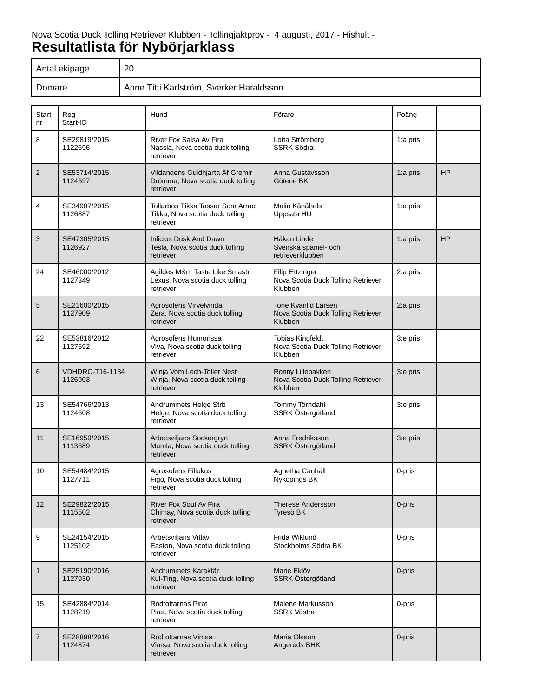# Nova Scotia Duck Tolling Retriever Klubben - Tollingjaktprov - 4 augusti, 2017 - Hishult - **Resultatlista för Nybörjarklass**

| Antal ekipage | 20                                       |
|---------------|------------------------------------------|
| Domare        | Anne Titti Karlström, Sverker Haraldsson |

| <b>Start</b><br>nr | Reg<br>Start-ID                   | Hund                                                                             | Förare                                                                      | Poäng    |           |
|--------------------|-----------------------------------|----------------------------------------------------------------------------------|-----------------------------------------------------------------------------|----------|-----------|
| 8                  | SE29819/2015<br>1122696           | River Fox Salsa Av Fira<br>Nässla, Nova scotia duck tolling<br>retriever         | Lotta Strömberg<br><b>SSRK Södra</b>                                        | 1:a pris |           |
| 2                  | SE53714/2015<br>1124597           | Vildandens Guldhjärta Af Gremir<br>Drömma, Nova scotia duck tolling<br>retriever | Anna Gustavsson<br>Götene BK                                                | 1:a pris | HP        |
| 4                  | SE34907/2015<br>1126887           | Tollarbos Tikka Tassar Som Arrac<br>Tikka, Nova scotia duck tolling<br>retriever | Malin Kånåhols<br>Uppsala HU                                                | 1:a pris |           |
| 3                  | SE47305/2015<br>1126927           | <b>Inlicios Dusk And Dawn</b><br>Tesla, Nova scotia duck tolling<br>retriever    | Håkan Linde<br>Svenska spaniel- och<br>retrieverklubben                     | 1:a pris | <b>HP</b> |
| 24                 | SE46000/2012<br>1127349           | Agildes M&m Taste Like Smash<br>Lexus, Nova scotia duck tolling<br>retriever     | <b>Filip Ertzinger</b><br>Nova Scotia Duck Tolling Retriever<br>Klubben     | 2:a pris |           |
| 5                  | SE21600/2015<br>1127909           | Agrosofens Virvelvinda<br>Zera, Nova scotia duck tolling<br>retriever            | <b>Tone Kvanlid Larsen</b><br>Nova Scotia Duck Tolling Retriever<br>Klubben | 2:a pris |           |
| 22                 | SE53816/2012<br>1127592           | Agrosofens Humorissa<br>Viva, Nova scotia duck tolling<br>retriever              | Tobias Kingfeldt<br>Nova Scotia Duck Tolling Retriever<br>Klubben           | 3:e pris |           |
| 6                  | <b>VDHDRC-T16-1134</b><br>1126903 | Winja Vom Lech-Toller Nest<br>Winja, Nova scotia duck tolling<br>retriever       | Ronny Lillebakken<br>Nova Scotia Duck Tolling Retriever<br>Klubben          | 3:e pris |           |
| 13                 | SE54766/2013<br>1124608           | Andrummets Helge Strb<br>Helge, Nova scotia duck tolling<br>retriever            | Tommy Törndahl<br>SSRK Östergötland                                         | 3:e pris |           |
| 11                 | SE16959/2015<br>1113689           | Arbetsviljans Sockergryn<br>Mumla, Nova scotia duck tolling<br>retriever         | Anna Fredriksson<br>SSRK Östergötland                                       | 3:e pris |           |
| 10                 | SE54484/2015<br>1127711           | Agrosofens Filiokus<br>Figo, Nova scotia duck tolling<br>retriever               | Agnetha Canhäll<br>Nyköpings BK                                             | 0-pris   |           |
| 12                 | SE29822/2015<br>1115502           | River Fox Soul Av Fira<br>Chimay, Nova scotia duck tolling<br>retriever          | <b>Therese Andersson</b><br>Tyresö BK                                       | 0-pris   |           |
| 9                  | SE24154/2015<br>1125102           | Arbetsviljans Vitlav<br>Easton, Nova scotia duck tolling<br>retriever            | Frida Wiklund<br>Stockholms Södra BK                                        | 0-pris   |           |
| $\mathbf{1}$       | SE25190/2016<br>1127930           | Andrummets Karaktär<br>Kul-Ting, Nova scotia duck tolling<br>retriever           | Marie Eklöv<br>SSRK Östergötland                                            | 0-pris   |           |
| 15                 | SE42884/2014<br>1128219           | Rödtottarnas Pirat<br>Pirat, Nova scotia duck tolling<br>retriever               | Malene Markusson<br><b>SSRK Västra</b>                                      | 0-pris   |           |
| $\overline{7}$     | SE28898/2016<br>1124874           | Rödtottarnas Vimsa<br>Vimsa, Nova scotia duck tolling<br>retriever               | Maria Olsson<br>Angereds BHK                                                | 0-pris   |           |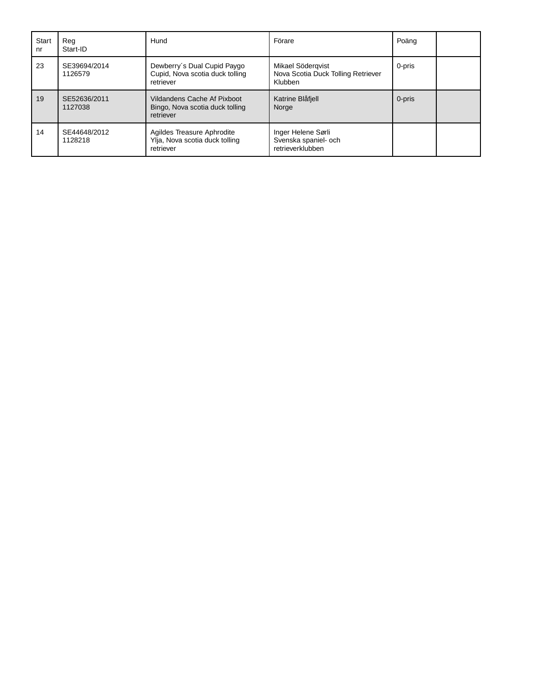| <b>Start</b><br>nr | Rea<br>Start-ID         | Hund                                                                        | Förare                                                             | Poäng  |  |
|--------------------|-------------------------|-----------------------------------------------------------------------------|--------------------------------------------------------------------|--------|--|
| 23                 | SE39694/2014<br>1126579 | Dewberry's Dual Cupid Paygo<br>Cupid, Nova scotia duck tolling<br>retriever | Mikael Södergvist<br>Nova Scotia Duck Tolling Retriever<br>Klubben | 0-pris |  |
| 19                 | SE52636/2011<br>1127038 | Vildandens Cache Af Pixboot<br>Bingo, Nova scotia duck tolling<br>retriever | Katrine Blåfjell<br>Norge                                          | 0-pris |  |
| 14                 | SE44648/2012<br>1128218 | Agildes Treasure Aphrodite<br>Ylja, Nova scotia duck tolling<br>retriever   | Inger Helene Sørli<br>Svenska spaniel- och<br>retrieverklubben     |        |  |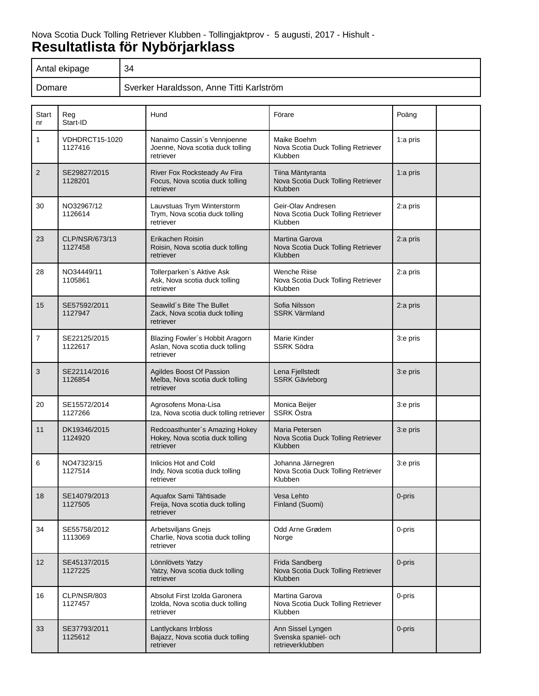# Nova Scotia Duck Tolling Retriever Klubben - Tollingjaktprov - 5 augusti, 2017 - Hishult - **Resultatlista för Nybörjarklass**

| Antal ekipage | 34                                       |
|---------------|------------------------------------------|
| Domare        | Sverker Haraldsson, Anne Titti Karlström |

| <b>Start</b><br>nr | Reg<br>Start-ID                  | Hund                                                                            | Förare                                                              | Poäng    |
|--------------------|----------------------------------|---------------------------------------------------------------------------------|---------------------------------------------------------------------|----------|
| $\mathbf{1}$       | <b>VDHDRCT15-1020</b><br>1127416 | Nanaimo Cassin's Vennjoenne<br>Joenne, Nova scotia duck tolling<br>retriever    | Maike Boehm<br>Nova Scotia Duck Tolling Retriever<br>Klubben        | 1:a pris |
| $\overline{2}$     | SE29827/2015<br>1128201          | River Fox Rocksteady Av Fira<br>Focus, Nova scotia duck tolling<br>retriever    | Tiina Mäntyranta<br>Nova Scotia Duck Tolling Retriever<br>Klubben   | 1:a pris |
| 30                 | NO32967/12<br>1126614            | Lauvstuas Trym Winterstorm<br>Trym, Nova scotia duck tolling<br>retriever       | Geir-Olav Andresen<br>Nova Scotia Duck Tolling Retriever<br>Klubben | 2:a pris |
| 23                 | CLP/NSR/673/13<br>1127458        | Erikachen Roisin<br>Roisin, Nova scotia duck tolling<br>retriever               | Martina Garova<br>Nova Scotia Duck Tolling Retriever<br>Klubben     | 2:a pris |
| 28                 | NO34449/11<br>1105861            | Tollerparken's Aktive Ask<br>Ask, Nova scotia duck tolling<br>retriever         | Wenche Riise<br>Nova Scotia Duck Tolling Retriever<br>Klubben       | 2:a pris |
| 15                 | SE57592/2011<br>1127947          | Seawild's Bite The Bullet<br>Zack, Nova scotia duck tolling<br>retriever        | Sofia Nilsson<br><b>SSRK Värmland</b>                               | 2:a pris |
| $\overline{7}$     | SE22125/2015<br>1122617          | Blazing Fowler's Hobbit Aragorn<br>Aslan, Nova scotia duck tolling<br>retriever | Marie Kinder<br><b>SSRK Södra</b>                                   | 3:e pris |
| 3                  | SE22114/2016<br>1126854          | Agildes Boost Of Passion<br>Melba, Nova scotia duck tolling<br>retriever        | Lena Fjellstedt<br><b>SSRK Gävleborg</b>                            | 3:e pris |
| 20                 | SE15572/2014<br>1127266          | Agrosofens Mona-Lisa<br>Iza, Nova scotia duck tolling retriever                 | Monica Beijer<br>SSRK Östra                                         | 3:e pris |
| 11                 | DK19346/2015<br>1124920          | Redcoasthunter's Amazing Hokey<br>Hokey, Nova scotia duck tolling<br>retriever  | Maria Petersen<br>Nova Scotia Duck Tolling Retriever<br>Klubben     | 3:e pris |
| 6                  | NO47323/15<br>1127514            | Inlicios Hot and Cold<br>Indy, Nova scotia duck tolling<br>retriever            | Johanna Järnegren<br>Nova Scotia Duck Tolling Retriever<br>Klubben  | 3:e pris |
| 18                 | SE14079/2013<br>1127505          | Aguafox Sami Tähtisade<br>Freija, Nova scotia duck tolling<br>retriever         | Vesa Lehto<br>Finland (Suomi)                                       | 0-pris   |
| 34                 | SE55758/2012<br>1113069          | Arbetsviljans Gnejs<br>Charlie, Nova scotia duck tolling<br>retriever           | Odd Arne Grødem<br>Norge                                            | 0-pris   |
| 12                 | SE45137/2015<br>1127225          | Lönnlövets Yatzy<br>Yatzy, Nova scotia duck tolling<br>retriever                | Frida Sandberg<br>Nova Scotia Duck Tolling Retriever<br>Klubben     | 0-pris   |
| 16                 | CLP/NSR/803<br>1127457           | Absolut First Izolda Garonera<br>Izolda, Nova scotia duck tolling<br>retriever  | Martina Garova<br>Nova Scotia Duck Tolling Retriever<br>Klubben     | 0-pris   |
| 33                 | SE37793/2011<br>1125612          | Lantlyckans Irrbloss<br>Bajazz, Nova scotia duck tolling<br>retriever           | Ann Sissel Lyngen<br>Svenska spaniel- och<br>retrieverklubben       | 0-pris   |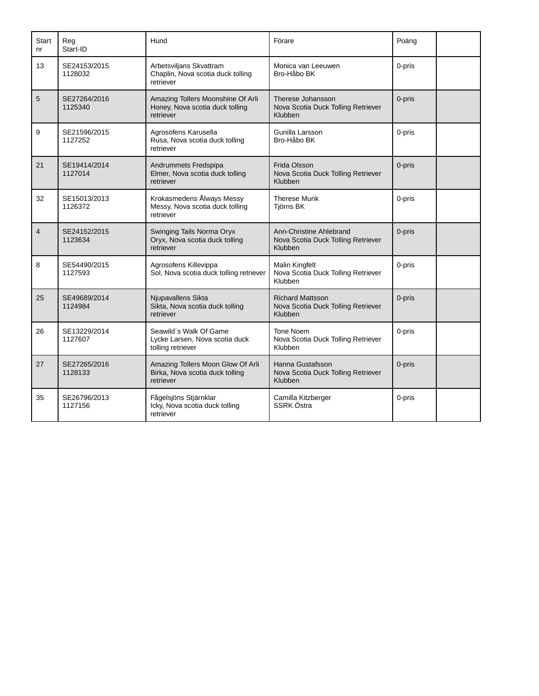| <b>Start</b><br>n <sub>r</sub> | Reg<br>Start-ID         | Hund                                                                              | Förare                                                                   | Poäng  |  |
|--------------------------------|-------------------------|-----------------------------------------------------------------------------------|--------------------------------------------------------------------------|--------|--|
| 13                             | SE24153/2015<br>1128032 | Arbetsviljans Skvattram<br>Chaplin, Nova scotia duck tolling<br>retriever         | Monica van Leeuwen<br>Bro-Håbo BK                                        | 0-pris |  |
| 5                              | SE27264/2016<br>1125340 | Amazing Tollers Moonshine Of Arli<br>Honey, Nova scotia duck tolling<br>retriever | Therese Johansson<br>Nova Scotia Duck Tolling Retriever<br>Klubben       | 0-pris |  |
| 9                              | SE21596/2015<br>1127252 | Agrosofens Karusella<br>Rusa, Nova scotia duck tolling<br>retriever               | Gunilla Larsson<br>Bro-Håbo BK                                           | 0-pris |  |
| 21                             | SE19414/2014<br>1127014 | Andrummets Fredspipa<br>Elmer, Nova scotia duck tolling<br>retriever              | Frida Olsson<br>Nova Scotia Duck Tolling Retriever<br>Klubben            | 0-pris |  |
| 32                             | SE15013/2013<br>1126372 | Krokasmedens Ålways Messy<br>Messy, Nova scotia duck tolling<br>retriever         | <b>Therese Munk</b><br>Tjörns BK                                         | 0-pris |  |
| $\overline{4}$                 | SE24152/2015<br>1123634 | Swinging Tails Norma Oryx<br>Oryx, Nova scotia duck tolling<br>retriever          | Ann-Christine Ahlebrand<br>Nova Scotia Duck Tolling Retriever<br>Klubben | 0-pris |  |
| 8                              | SE54490/2015<br>1127593 | Agrosofens Killevippa<br>Sol, Nova scotia duck tolling retriever                  | <b>Malin Kingfelt</b><br>Nova Scotia Duck Tolling Retriever<br>Klubben   | 0-pris |  |
| 25                             | SE49689/2014<br>1124984 | Njupavallens Sikta<br>Sikta, Nova scotia duck tolling<br>retriever                | <b>Richard Mattsson</b><br>Nova Scotia Duck Tolling Retriever<br>Klubben | 0-pris |  |
| 26                             | SE13229/2014<br>1127607 | Seawild's Walk Of Game<br>Lycke Larsen, Nova scotia duck<br>tolling retriever     | Tone Noem<br>Nova Scotia Duck Tolling Retriever<br>Klubben               | 0-pris |  |
| 27                             | SE27265/2016<br>1128133 | Amazing Tollers Moon Glow Of Arli<br>Birka, Nova scotia duck tolling<br>retriever | Hanna Gustafsson<br>Nova Scotia Duck Tolling Retriever<br>Klubben        | 0-pris |  |
| 35                             | SE26796/2013<br>1127156 | Fågelsjöns Stjärnklar<br>Icky, Nova scotia duck tolling<br>retriever              | Camilla Kitzberger<br>SSRK Östra                                         | 0-pris |  |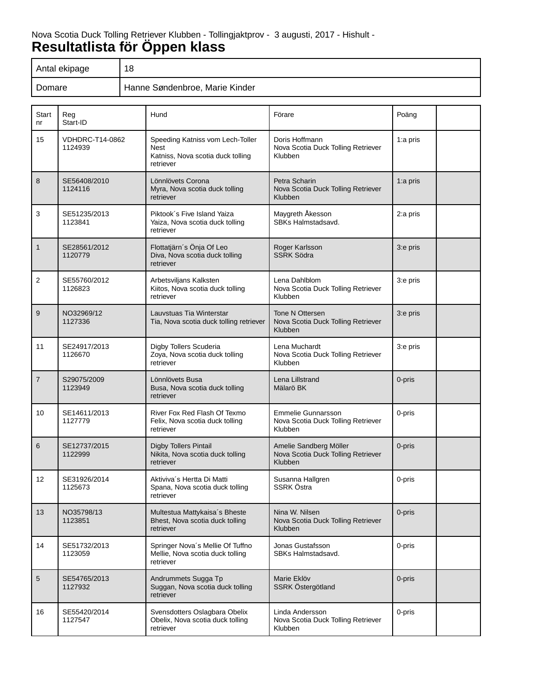# Nova Scotia Duck Tolling Retriever Klubben - Tollingjaktprov - 3 augusti, 2017 - Hishult - **Resultatlista för Öppen klass**

| Antal ekipage | 18                             |
|---------------|--------------------------------|
| Domare        | Hanne Søndenbroe, Marie Kinder |

| Start<br>n <sub>r</sub> | Reg<br>Start-ID                   | Hund                                                                                              | Förare                                                                     | Poäng    |  |
|-------------------------|-----------------------------------|---------------------------------------------------------------------------------------------------|----------------------------------------------------------------------------|----------|--|
| 15                      | <b>VDHDRC-T14-0862</b><br>1124939 | Speeding Katniss vom Lech-Toller<br><b>Nest</b><br>Katniss, Nova scotia duck tolling<br>retriever | Doris Hoffmann<br>Nova Scotia Duck Tolling Retriever<br>Klubben            | 1:a pris |  |
| 8                       | SE56408/2010<br>1124116           | Lönnlövets Corona<br>Myra, Nova scotia duck tolling<br>retriever                                  | Petra Scharin<br>Nova Scotia Duck Tolling Retriever<br>Klubben             | 1:a pris |  |
| 3                       | SE51235/2013<br>1123841           | Piktook's Five Island Yaiza<br>Yaiza, Nova scotia duck tolling<br>retriever                       | Maygreth Åkesson<br>SBKs Halmstadsavd.                                     | 2:a pris |  |
| $\mathbf{1}$            | SE28561/2012<br>1120779           | Flottatjärn's Önja Of Leo<br>Diva, Nova scotia duck tolling<br>retriever                          | Roger Karlsson<br>SSRK Södra                                               | 3:e pris |  |
| $\overline{2}$          | SE55760/2012<br>1126823           | Arbetsviljans Kalksten<br>Kiitos, Nova scotia duck tolling<br>retriever                           | Lena Dahlblom<br>Nova Scotia Duck Tolling Retriever<br>Klubben             | 3:e pris |  |
| 9                       | NO32969/12<br>1127336             | Lauvstuas Tia Winterstar<br>Tia, Nova scotia duck tolling retriever                               | Tone N Ottersen<br>Nova Scotia Duck Tolling Retriever<br>Klubben           | 3:e pris |  |
| 11                      | SE24917/2013<br>1126670           | Digby Tollers Scuderia<br>Zoya, Nova scotia duck tolling<br>retriever                             | Lena Muchardt<br>Nova Scotia Duck Tolling Retriever<br>Klubben             | 3:e pris |  |
| $\overline{7}$          | S29075/2009<br>1123949            | Lönnlövets Busa<br>Busa, Nova scotia duck tolling<br>retriever                                    | Lena Lillstrand<br>Mälarö BK                                               | 0-pris   |  |
| 10                      | SE14611/2013<br>1127779           | River Fox Red Flash Of Texmo<br>Felix, Nova scotia duck tolling<br>retriever                      | <b>Emmelie Gunnarsson</b><br>Nova Scotia Duck Tolling Retriever<br>Klubben | 0-pris   |  |
| 6                       | SE12737/2015<br>1122999           | <b>Digby Tollers Pintail</b><br>Nikita, Nova scotia duck tolling<br>retriever                     | Amelie Sandberg Möller<br>Nova Scotia Duck Tolling Retriever<br>Klubben    | 0-pris   |  |
| 12                      | SE31926/2014<br>1125673           | Aktiviva's Hertta Di Matti<br>Spana, Nova scotia duck tolling<br>retriever                        | Susanna Hallgren<br>SSRK Östra                                             | 0-pris   |  |
| 13                      | NO35798/13<br>1123851             | Multestua Mattykaisa's Bheste<br>Bhest, Nova scotia duck tolling<br>retriever                     | Nina W. Nilsen<br>Nova Scotia Duck Tolling Retriever<br>Klubben            | 0-pris   |  |
| 14                      | SE51732/2013<br>1123059           | Springer Nova's Mellie Of Tuffno<br>Mellie, Nova scotia duck tolling<br>retriever                 | Jonas Gustafsson<br>SBKs Halmstadsavd.                                     | 0-pris   |  |
| 5                       | SE54765/2013<br>1127932           | Andrummets Sugga Tp<br>Suggan, Nova scotia duck tolling<br>retriever                              | Marie Eklöv<br>SSRK Östergötland                                           | 0-pris   |  |
| 16                      | SE55420/2014<br>1127547           | Svensdotters Oslagbara Obelix<br>Obelix, Nova scotia duck tolling<br>retriever                    | Linda Andersson<br>Nova Scotia Duck Tolling Retriever<br>Klubben           | 0-pris   |  |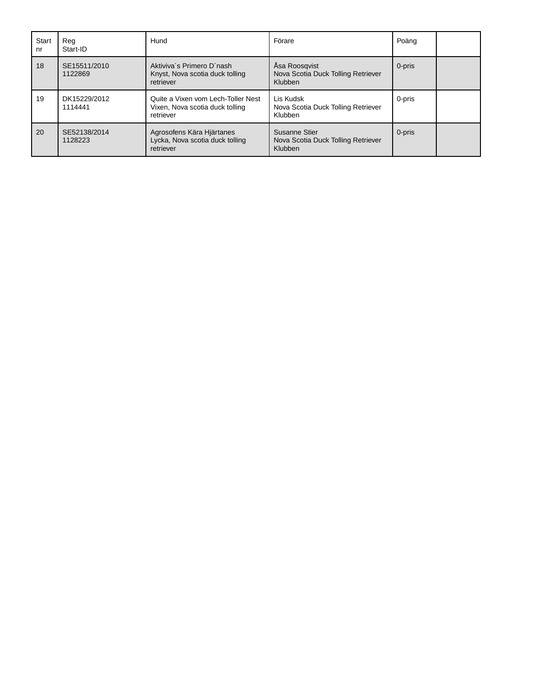| <b>Start</b><br>nr | Rea<br>Start-ID         | Hund                                                                               | Förare                                                         | Poäng  |  |
|--------------------|-------------------------|------------------------------------------------------------------------------------|----------------------------------------------------------------|--------|--|
| 18                 | SE15511/2010<br>1122869 | Aktiviva's Primero D'nash<br>Knyst, Nova scotia duck tolling<br>retriever          | Asa Roosgvist<br>Nova Scotia Duck Tolling Retriever<br>Klubben | 0-pris |  |
| 19                 | DK15229/2012<br>1114441 | Quite a Vixen vom Lech-Toller Nest<br>Vixen, Nova scotia duck tolling<br>retriever | Lis Kudsk<br>Nova Scotia Duck Tolling Retriever<br>Klubben     | 0-pris |  |
| 20                 | SE52138/2014<br>1128223 | Agrosofens Kära Hjärtanes<br>Lycka, Nova scotia duck tolling<br>retriever          | Susanne Stier<br>Nova Scotia Duck Tolling Retriever<br>Klubben | 0-pris |  |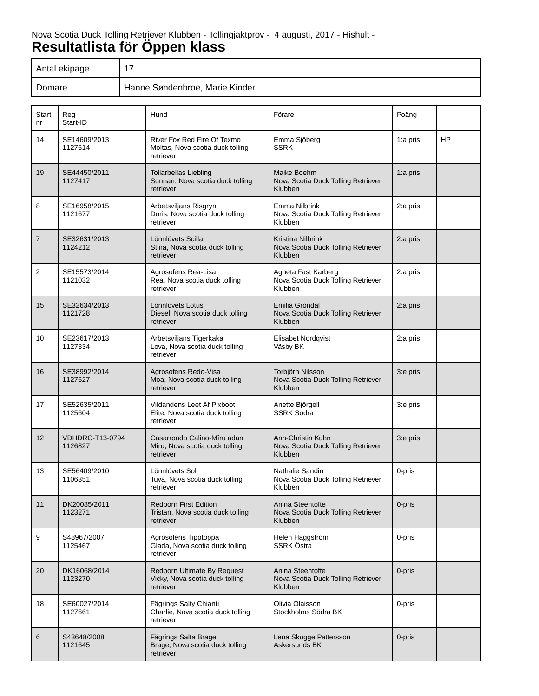# Nova Scotia Duck Tolling Retriever Klubben - Tollingjaktprov - 4 augusti, 2017 - Hishult - **Resultatlista för Öppen klass**

| Antal ekipage | ᇧ                              |
|---------------|--------------------------------|
| Domare        | Hanne Søndenbroe, Marie Kinder |

| <b>Start</b><br>nr | Reg<br>Start-ID                   | Hund                                                                           | Förare                                                                   | Poäng    |           |
|--------------------|-----------------------------------|--------------------------------------------------------------------------------|--------------------------------------------------------------------------|----------|-----------|
| 14                 | SE14609/2013<br>1127614           | River Fox Red Fire Of Texmo<br>Moltas, Nova scotia duck tolling<br>retriever   | Emma Sjöberg<br><b>SSRK</b>                                              | 1:a pris | <b>HP</b> |
| 19                 | SE44450/2011<br>1127417           | <b>Tollarbellas Liebling</b><br>Sunnan, Nova scotia duck tolling<br>retriever  | Maike Boehm<br>Nova Scotia Duck Tolling Retriever<br>Klubben             | 1:a pris |           |
| 8                  | SE16958/2015<br>1121677           | Arbetsviljans Risgryn<br>Doris, Nova scotia duck tolling<br>retriever          | Emma Nilbrink<br>Nova Scotia Duck Tolling Retriever<br>Klubben           | 2:a pris |           |
| $\overline{7}$     | SE32631/2013<br>1124212           | Lönnlövets Scilla<br>Stina, Nova scotia duck tolling<br>retriever              | Kristina Nilbrink<br>Nova Scotia Duck Tolling Retriever<br>Klubben       | 2:a pris |           |
| 2                  | SE15573/2014<br>1121032           | Agrosofens Rea-Lisa<br>Rea, Nova scotia duck tolling<br>retriever              | Agneta Fast Karberg<br>Nova Scotia Duck Tolling Retriever<br>Klubben     | 2:a pris |           |
| 15                 | SE32634/2013<br>1121728           | Lönnlövets Lotus<br>Diesel, Nova scotia duck tolling<br>retriever              | Emilia Gröndal<br>Nova Scotia Duck Tolling Retriever<br>Klubben          | 2:a pris |           |
| 10                 | SE23617/2013<br>1127334           | Arbetsviljans Tigerkaka<br>Lova, Nova scotia duck tolling<br>retriever         | Elisabet Nordqvist<br>Väsby BK                                           | 2:a pris |           |
| 16                 | SE38992/2014<br>1127627           | Agrosofens Redo-Visa<br>Moa, Nova scotia duck tolling<br>retriever             | Torbjörn Nilsson<br>Nova Scotia Duck Tolling Retriever<br>Klubben        | 3:e pris |           |
| 17                 | SE52635/2011<br>1125604           | Vildandens Leet Af Pixboot<br>Elite, Nova scotia duck tolling<br>retriever     | Anette Björgell<br><b>SSRK Södra</b>                                     | 3:e pris |           |
| 12                 | <b>VDHDRC-T13-0794</b><br>1126827 | Casarrondo Calino-Mîru adan<br>Mîru, Nova scotia duck tolling<br>retriever     | Ann-Christin Kuhn<br>Nova Scotia Duck Tolling Retriever<br>Klubben       | 3:e pris |           |
| 13                 | SE56409/2010<br>1106351           | Lönnlövets Sol<br>Tuva, Nova scotia duck tolling<br>retriever                  | Nathalie Sandin<br>Nova Scotia Duck Tolling Retriever<br>Klubben         | 0-pris   |           |
| 11                 | DK20085/2011<br>1123271           | <b>Redborn First Edition</b><br>Tristan, Nova scotia duck tolling<br>retriever | Anina Steentofte<br>Nova Scotia Duck Tolling Retriever<br>Klubben        | 0-pris   |           |
| 9                  | S48967/2007<br>1125467            | Agrosofens Tipptoppa<br>Glada, Nova scotia duck tolling<br>retriever           | Helen Häggström<br>SSRK Östra                                            | 0-pris   |           |
| 20                 | DK16068/2014<br>1123270           | Redborn Ultimate By Request<br>Vicky, Nova scotia duck tolling<br>retriever    | Anina Steentofte<br>Nova Scotia Duck Tolling Retriever<br><b>Klubben</b> | 0-pris   |           |
| 18                 | SE60027/2014<br>1127661           | Fägrings Salty Chianti<br>Charlie, Nova scotia duck tolling<br>retriever       | Olivia Olaisson<br>Stockholms Södra BK                                   | 0-pris   |           |
| 6                  | S43648/2008<br>1121645            | Fägrings Salta Brage<br>Brage, Nova scotia duck tolling<br>retriever           | Lena Skugge Pettersson<br>Askersunds BK                                  | 0-pris   |           |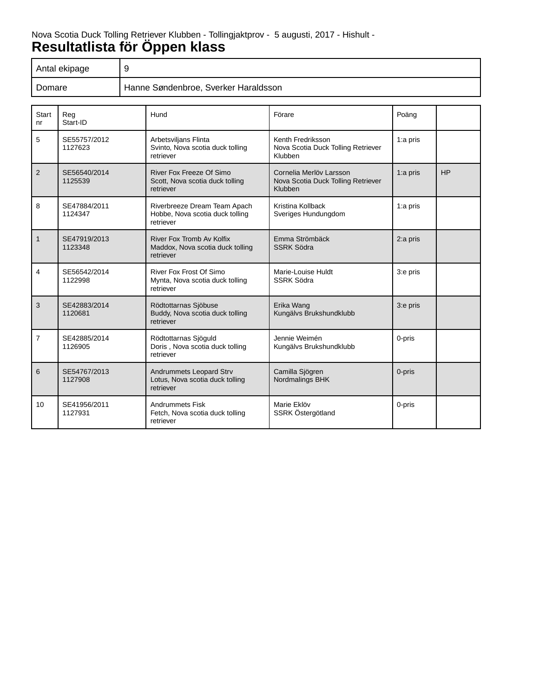# Nova Scotia Duck Tolling Retriever Klubben - Tollingjaktprov - 5 augusti, 2017 - Hishult - **Resultatlista för Öppen klass**

| Antal ekipage |                                      |
|---------------|--------------------------------------|
| Domare        | Hanne Søndenbroe, Sverker Haraldsson |

| <b>Start</b><br>nr | Reg<br>Start-ID         | Hund                                                                         | Förare                                                                   | Poäng    |           |
|--------------------|-------------------------|------------------------------------------------------------------------------|--------------------------------------------------------------------------|----------|-----------|
| 5                  | SE55757/2012<br>1127623 | Arbetsviljans Flinta<br>Svinto, Nova scotia duck tolling<br>retriever        | Kenth Fredriksson<br>Nova Scotia Duck Tolling Retriever<br>Klubben       | 1:a pris |           |
| 2                  | SE56540/2014<br>1125539 | River Fox Freeze Of Simo<br>Scott, Nova scotia duck tolling<br>retriever     | Cornelia Merlöv Larsson<br>Nova Scotia Duck Tolling Retriever<br>Klubben | 1:a pris | <b>HP</b> |
| 8                  | SE47884/2011<br>1124347 | Riverbreeze Dream Team Apach<br>Hobbe, Nova scotia duck tolling<br>retriever | Kristina Kollback<br>Sveriges Hundungdom                                 | 1:a pris |           |
| $\mathbf{1}$       | SE47919/2013<br>1123348 | River Fox Tromb Av Kolfix<br>Maddox, Nova scotia duck tolling<br>retriever   | Emma Strömbäck<br><b>SSRK Södra</b>                                      | 2:a pris |           |
| 4                  | SE56542/2014<br>1122998 | River Fox Frost Of Simo<br>Mynta, Nova scotia duck tolling<br>retriever      | Marie-Louise Huldt<br><b>SSRK Södra</b>                                  | 3:e pris |           |
| 3                  | SE42883/2014<br>1120681 | Rödtottarnas Sjöbuse<br>Buddy, Nova scotia duck tolling<br>retriever         | Erika Wang<br>Kungälvs Brukshundklubb                                    | 3:e pris |           |
| $\overline{7}$     | SE42885/2014<br>1126905 | Rödtottarnas Sjöguld<br>Doris, Nova scotia duck tolling<br>retriever         | Jennie Weimén<br>Kungälvs Brukshundklubb                                 | 0-pris   |           |
| 6                  | SE54767/2013<br>1127908 | Andrummets Leopard Strv<br>Lotus, Nova scotia duck tolling<br>retriever      | Camilla Sjögren<br>Nordmalings BHK                                       | 0-pris   |           |
| 10                 | SE41956/2011<br>1127931 | <b>Andrummets Fisk</b><br>Fetch, Nova scotia duck tolling<br>retriever       | Marie Eklöv<br>SSRK Östergötland                                         | 0-pris   |           |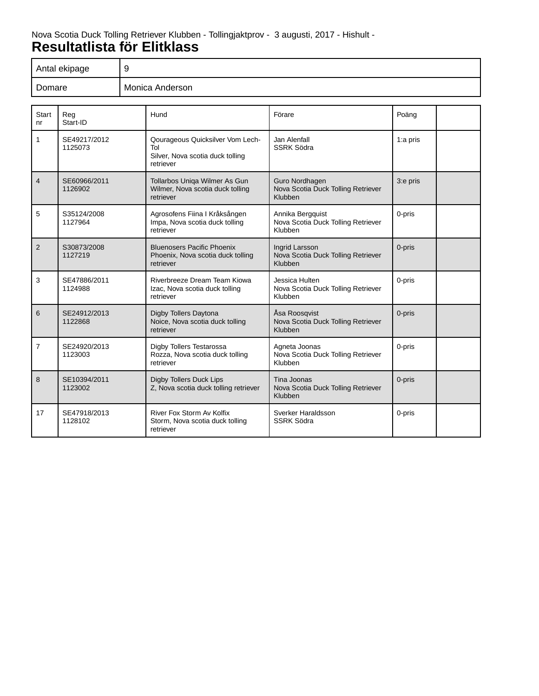#### Nova Scotia Duck Tolling Retriever Klubben - Tollingjaktprov - 3 augusti, 2017 - Hishult - **Resultatlista för Elitklass**

| Antal ekipage | 9               |
|---------------|-----------------|
| Domare        | Monica Anderson |

| <b>Start</b><br>nr | Reg<br>Start-ID         | Hund                                                                                     | Förare                                                            | Poäng    |  |
|--------------------|-------------------------|------------------------------------------------------------------------------------------|-------------------------------------------------------------------|----------|--|
| $\mathbf{1}$       | SE49217/2012<br>1125073 | Qourageous Quicksilver Vom Lech-<br>Tol<br>Silver, Nova scotia duck tolling<br>retriever | Jan Alenfall<br><b>SSRK Södra</b>                                 | 1:a pris |  |
| $\overline{4}$     | SE60966/2011<br>1126902 | Tollarbos Uniga Wilmer As Gun<br>Wilmer, Nova scotia duck tolling<br>retriever           | Guro Nordhagen<br>Nova Scotia Duck Tolling Retriever<br>Klubben   | 3:e pris |  |
| 5                  | S35124/2008<br>1127964  | Agrosofens Fiina I Kråksången<br>Impa, Nova scotia duck tolling<br>retriever             | Annika Bergquist<br>Nova Scotia Duck Tolling Retriever<br>Klubben | 0-pris   |  |
| $\overline{2}$     | S30873/2008<br>1127219  | <b>Bluenosers Pacific Phoenix</b><br>Phoenix, Nova scotia duck tolling<br>retriever      | Ingrid Larsson<br>Nova Scotia Duck Tolling Retriever<br>Klubben   | 0-pris   |  |
| 3                  | SE47886/2011<br>1124988 | Riverbreeze Dream Team Kiowa<br>Izac, Nova scotia duck tolling<br>retriever              | Jessica Hulten<br>Nova Scotia Duck Tolling Retriever<br>Klubben   | 0-pris   |  |
| 6                  | SE24912/2013<br>1122868 | Digby Tollers Daytona<br>Noice, Nova scotia duck tolling<br>retriever                    | Åsa Roosgvist<br>Nova Scotia Duck Tolling Retriever<br>Klubben    | 0-pris   |  |
| $\overline{7}$     | SE24920/2013<br>1123003 | Digby Tollers Testarossa<br>Rozza, Nova scotia duck tolling<br>retriever                 | Agneta Joonas<br>Nova Scotia Duck Tolling Retriever<br>Klubben    | 0-pris   |  |
| 8                  | SE10394/2011<br>1123002 | <b>Digby Tollers Duck Lips</b><br>Z, Nova scotia duck tolling retriever                  | Tina Joonas<br>Nova Scotia Duck Tolling Retriever<br>Klubben      | 0-pris   |  |
| 17                 | SE47918/2013<br>1128102 | River Fox Storm Av Kolfix<br>Storm, Nova scotia duck tolling<br>retriever                | Sverker Haraldsson<br><b>SSRK Södra</b>                           | 0-pris   |  |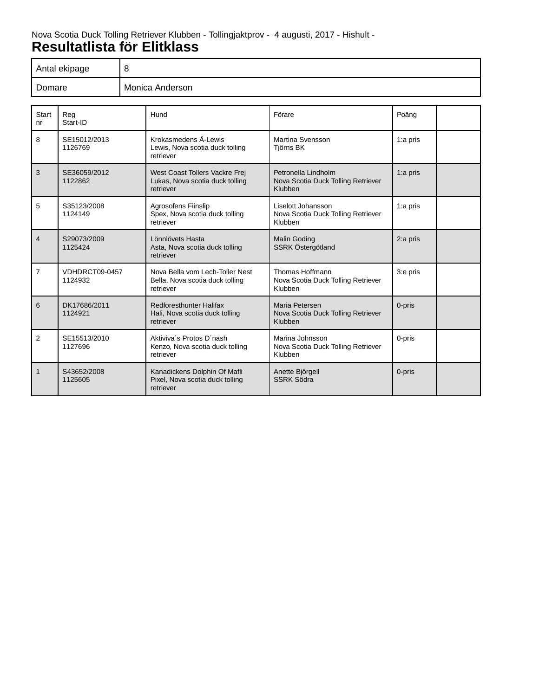### Nova Scotia Duck Tolling Retriever Klubben - Tollingjaktprov - 4 augusti, 2017 - Hishult - **Resultatlista för Elitklass**

| Antal ekipage | ັ               |
|---------------|-----------------|
| Domare        | Monica Anderson |

| <b>Start</b><br>n <sub>r</sub> | Reg<br>Start-ID           | Hund                                                                            | Förare                                                               | Poäng      |  |
|--------------------------------|---------------------------|---------------------------------------------------------------------------------|----------------------------------------------------------------------|------------|--|
| 8                              | SE15012/2013<br>1126769   | Krokasmedens Å-Lewis<br>Lewis, Nova scotia duck tolling<br>retriever            | Martina Svensson<br><b>Tiörns BK</b>                                 | 1:a pris   |  |
| 3                              | SE36059/2012<br>1122862   | West Coast Tollers Vackre Frej<br>Lukas, Nova scotia duck tolling<br>retriever  | Petronella Lindholm<br>Nova Scotia Duck Tolling Retriever<br>Klubben | $1:a$ pris |  |
| 5                              | S35123/2008<br>1124149    | <b>Agrosofens Fiinslip</b><br>Spex, Nova scotia duck tolling<br>retriever       | Liselott Johansson<br>Nova Scotia Duck Tolling Retriever<br>Klubben  | 1:a pris   |  |
| $\overline{4}$                 | S29073/2009<br>1125424    | Lönnlövets Hasta<br>Asta, Nova scotia duck tolling<br>retriever                 | <b>Malin Goding</b><br>SSRK Östergötland                             | 2:a pris   |  |
| $\overline{7}$                 | VDHDRCT09-0457<br>1124932 | Nova Bella vom Lech-Toller Nest<br>Bella, Nova scotia duck tolling<br>retriever | Thomas Hoffmann<br>Nova Scotia Duck Tolling Retriever<br>Klubben     | 3:e pris   |  |
| 6                              | DK17686/2011<br>1124921   | Redforesthunter Halifax<br>Hali, Nova scotia duck tolling<br>retriever          | Maria Petersen<br>Nova Scotia Duck Tolling Retriever<br>Klubben      | 0-pris     |  |
| 2                              | SE15513/2010<br>1127696   | Aktiviva's Protos D'nash<br>Kenzo, Nova scotia duck tolling<br>retriever        | Marina Johnsson<br>Nova Scotia Duck Tolling Retriever<br>Klubben     | 0-pris     |  |
| $\mathbf{1}$                   | S43652/2008<br>1125605    | Kanadickens Dolphin Of Mafli<br>Pixel, Nova scotia duck tolling<br>retriever    | Anette Björgell<br><b>SSRK Södra</b>                                 | 0-pris     |  |